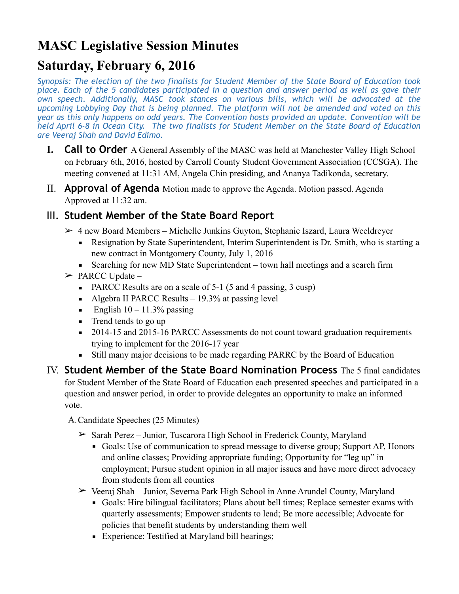# **MASC Legislative Session Minutes**

# **Saturday, February 6, 2016**

*Synopsis: The election of the two finalists for Student Member of the State Board of Education took place. Each of the 5 candidates participated in a question and answer period as well as gave their own speech. Additionally, MASC took stances on various bills, which will be advocated at the upcoming Lobbying Day that is being planned. The platform will not be amended and voted on this year as this only happens on odd years. The Convention hosts provided an update. Convention will be held April 6-8 in Ocean City. The two finalists for Student Member on the State Board of Education are Veeraj Shah and David Edimo.* 

- **I. Call to Order** A General Assembly of the MASC was held at Manchester Valley High School on February 6th, 2016, hosted by Carroll County Student Government Association (CCSGA). The meeting convened at 11:31 AM, Angela Chin presiding, and Ananya Tadikonda, secretary.
- II. **Approval of Agenda** Motion made to approve the Agenda. Motion passed. Agenda Approved at 11:32 am.

# III. **Student Member of the State Board Report**

- ➢ 4 new Board Members Michelle Junkins Guyton, Stephanie Iszard, Laura Weeldreyer
	- **Resignation by State Superintendent, Interim Superintendent is Dr. Smith, who is starting a** new contract in Montgomery County, July 1, 2016
	- Searching for new MD State Superintendent town hall meetings and a search firm
- $\triangleright$  PARCC Update
	- PARCC Results are on a scale of 5-1 (5 and 4 passing, 3 cusp)
	- $\blacksquare$  Algebra II PARCC Results 19.3% at passing level
	- **•** English  $10 11.3\%$  passing
	- $\blacksquare$  Trend tends to go up
	- 2014-15 and 2015-16 PARCC Assessments do not count toward graduation requirements trying to implement for the 2016-17 year
	- **Example 1** Still many major decisions to be made regarding PARRC by the Board of Education
- IV. **Student Member of the State Board Nomination Process** The 5 final candidates for Student Member of the State Board of Education each presented speeches and participated in a question and answer period, in order to provide delegates an opportunity to make an informed vote.

A.Candidate Speeches (25 Minutes)

- ➢ Sarah Perez Junior, Tuscarora High School in Frederick County, Maryland
	- Goals: Use of communication to spread message to diverse group; Support AP, Honors and online classes; Providing appropriate funding; Opportunity for "leg up" in employment; Pursue student opinion in all major issues and have more direct advocacy from students from all counties
- ➢ Veeraj Shah Junior, Severna Park High School in Anne Arundel County, Maryland
	- Goals: Hire bilingual facilitators; Plans about bell times; Replace semester exams with quarterly assessments; Empower students to lead; Be more accessible; Advocate for policies that benefit students by understanding them well
	- **Experience: Testified at Maryland bill hearings;**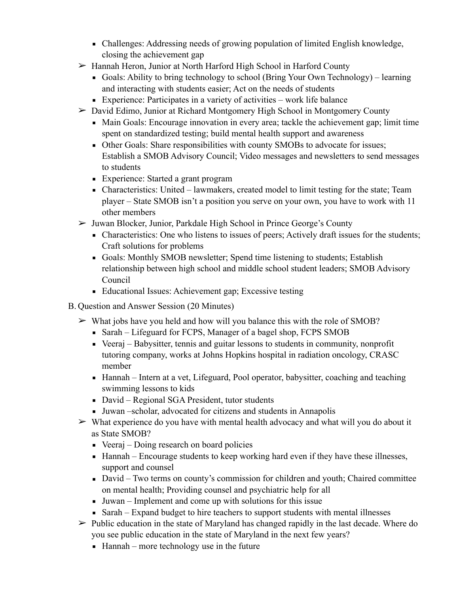- Challenges: Addressing needs of growing population of limited English knowledge, closing the achievement gap
- ➢ Hannah Heron, Junior at North Harford High School in Harford County
	- Goals: Ability to bring technology to school (Bring Your Own Technology) learning and interacting with students easier; Act on the needs of students
	- Experience: Participates in a variety of activities work life balance
- ➢ David Edimo, Junior at Richard Montgomery High School in Montgomery County
	- Main Goals: Encourage innovation in every area; tackle the achievement gap; limit time spent on standardized testing; build mental health support and awareness
	- Other Goals: Share responsibilities with county SMOBs to advocate for issues; Establish a SMOB Advisory Council; Video messages and newsletters to send messages to students
	- Experience: Started a grant program
	- Characteristics: United lawmakers, created model to limit testing for the state; Team player – State SMOB isn't a position you serve on your own, you have to work with 11 other members
- ➢ Juwan Blocker, Junior, Parkdale High School in Prince George's County
	- Characteristics: One who listens to issues of peers; Actively draft issues for the students; Craft solutions for problems
	- Goals: Monthly SMOB newsletter; Spend time listening to students; Establish relationship between high school and middle school student leaders; SMOB Advisory Council
	- Educational Issues: Achievement gap; Excessive testing
- B. Question and Answer Session (20 Minutes)
	- $\triangleright$  What jobs have you held and how will you balance this with the role of SMOB?
		- Sarah Lifeguard for FCPS, Manager of a bagel shop, FCPS SMOB
		- $\bullet$  Veeraj Babysitter, tennis and guitar lessons to students in community, nonprofit tutoring company, works at Johns Hopkins hospital in radiation oncology, CRASC member
		- Hannah Intern at a vet, Lifeguard, Pool operator, babysitter, coaching and teaching swimming lessons to kids
		- David Regional SGA President, tutor students
		- Juwan –scholar, advocated for citizens and students in Annapolis
	- $\triangleright$  What experience do you have with mental health advocacy and what will you do about it as State SMOB?
		- $\bullet$  Veeraj Doing research on board policies
		- Hannah Encourage students to keep working hard even if they have these illnesses, support and counsel
		- David Two terms on county's commission for children and youth; Chaired committee on mental health; Providing counsel and psychiatric help for all
		- $\blacksquare$  Juwan Implement and come up with solutions for this issue
		- $\blacksquare$  Sarah Expand budget to hire teachers to support students with mental illnesses
	- $\triangleright$  Public education in the state of Maryland has changed rapidly in the last decade. Where do you see public education in the state of Maryland in the next few years?
		- $\blacksquare$  Hannah more technology use in the future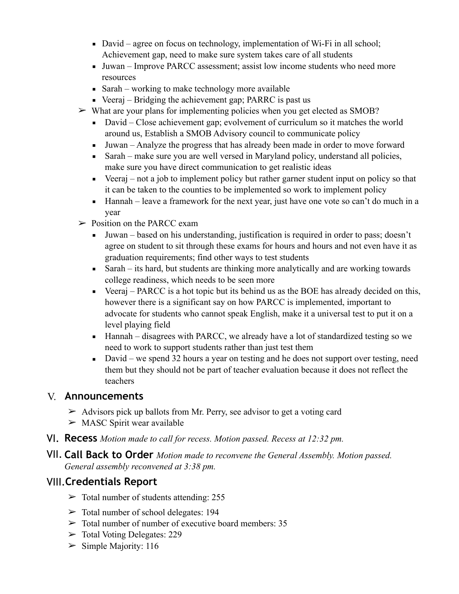- David agree on focus on technology, implementation of Wi-Fi in all school; Achievement gap, need to make sure system takes care of all students
- Juwan Improve PARCC assessment; assist low income students who need more resources
- $\blacksquare$  Sarah working to make technology more available
- **•** Veeraj Bridging the achievement gap; PARRC is past us
- $\triangleright$  What are your plans for implementing policies when you get elected as SMOB?
	- David Close achievement gap; evolvement of curriculum so it matches the world around us, Establish a SMOB Advisory council to communicate policy
	- Juwan Analyze the progress that has already been made in order to move forward
	- Sarah make sure you are well versed in Maryland policy, understand all policies, make sure you have direct communication to get realistic ideas
	- $\bullet$  Veeraj not a job to implement policy but rather garner student input on policy so that it can be taken to the counties to be implemented so work to implement policy
	- Hannah leave a framework for the next year, just have one vote so can't do much in a year
- $\triangleright$  Position on the PARCC exam
	- Juwan based on his understanding, justification is required in order to pass; doesn't agree on student to sit through these exams for hours and hours and not even have it as graduation requirements; find other ways to test students
	- $\blacksquare$  Sarah its hard, but students are thinking more analytically and are working towards college readiness, which needs to be seen more
	- Veeraj PARCC is a hot topic but its behind us as the BOE has already decided on this, however there is a significant say on how PARCC is implemented, important to advocate for students who cannot speak English, make it a universal test to put it on a level playing field
	- Hannah disagrees with PARCC, we already have a lot of standardized testing so we need to work to support students rather than just test them
	- David we spend 32 hours a year on testing and he does not support over testing, need them but they should not be part of teacher evaluation because it does not reflect the teachers

### V. **Announcements**

- $\geq$  Advisors pick up ballots from Mr. Perry, see advisor to get a voting card
- $>$  MASC Spirit wear available
- VI. **Recess** *Motion made to call for recess. Motion passed. Recess at 12:32 pm.*
- VII. **Call Back to Order** *Motion made to reconvene the General Assembly. Motion passed. General assembly reconvened at 3:38 pm.*

# VIII.**Credentials Report**

- $\geq$  Total number of students attending: 255
- $\geq$  Total number of school delegates: 194
- $\geq$  Total number of number of executive board members: 35
- $\triangleright$  Total Voting Delegates: 229
- $\geq$  Simple Majority: 116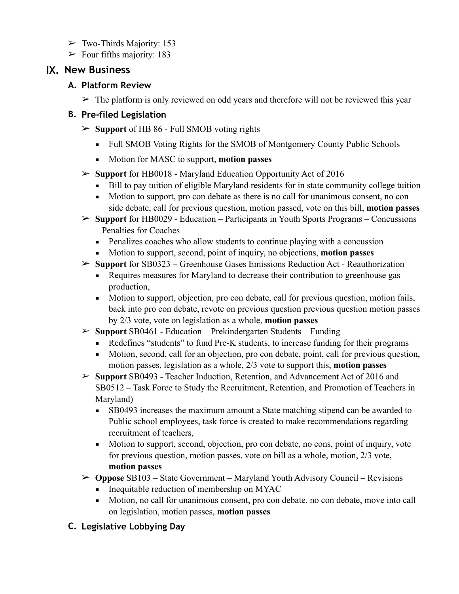- $\triangleright$  Two-Thirds Majority: 153
- $\triangleright$  Four fifths majority: 183

## **IX. New Business**

#### **A. Platform Review**

 $\triangleright$  The platform is only reviewed on odd years and therefore will not be reviewed this year

## **B. Pre-filed Legislation**

- ➢ **Support** of HB 86 Full SMOB voting rights
	- Full SMOB Voting Rights for the SMOB of Montgomery County Public Schools
	- Motion for MASC to support, **motion passes**
- ➢ **Support** for HB0018 Maryland Education Opportunity Act of 2016
	- Bill to pay tuition of eligible Maryland residents for in state community college tuition
	- Motion to support, pro con debate as there is no call for unanimous consent, no con side debate, call for previous question, motion passed, vote on this bill, **motion passes**
- ➢ **Support** for HB0029 Education Participants in Youth Sports Programs Concussions – Penalties for Coaches
	- **•** Penalizes coaches who allow students to continue playing with a concussion
	- Motion to support, second, point of inquiry, no objections, **motion passes**
- ➢ **Support** for SB0323 Greenhouse Gases Emissions Reduction Act Reauthorization
	- Requires measures for Maryland to decrease their contribution to greenhouse gas production,
	- Motion to support, objection, pro con debate, call for previous question, motion fails, back into pro con debate, revote on previous question previous question motion passes by 2/3 vote, vote on legislation as a whole, **motion passes**
- ➢ **Support** SB0461 Education Prekindergarten Students Funding
	- Redefines "students" to fund Pre-K students, to increase funding for their programs
	- Motion, second, call for an objection, pro con debate, point, call for previous question, motion passes, legislation as a whole, 2/3 vote to support this, **motion passes**
- ➢ **Support** SB0493 Teacher Induction, Retention, and Advancement Act of 2016 and SB0512 – Task Force to Study the Recruitment, Retention, and Promotion of Teachers in Maryland)
	- **•** SB0493 increases the maximum amount a State matching stipend can be awarded to Public school employees, task force is created to make recommendations regarding recruitment of teachers,
	- Motion to support, second, objection, pro con debate, no cons, point of inquiry, vote for previous question, motion passes, vote on bill as a whole, motion, 2/3 vote, **motion passes**
- ➢ **Oppose** SB103 State Government Maryland Youth Advisory Council Revisions
	- **•** Inequitable reduction of membership on MYAC
	- Motion, no call for unanimous consent, pro con debate, no con debate, move into call on legislation, motion passes, **motion passes**
- **C. Legislative Lobbying Day**